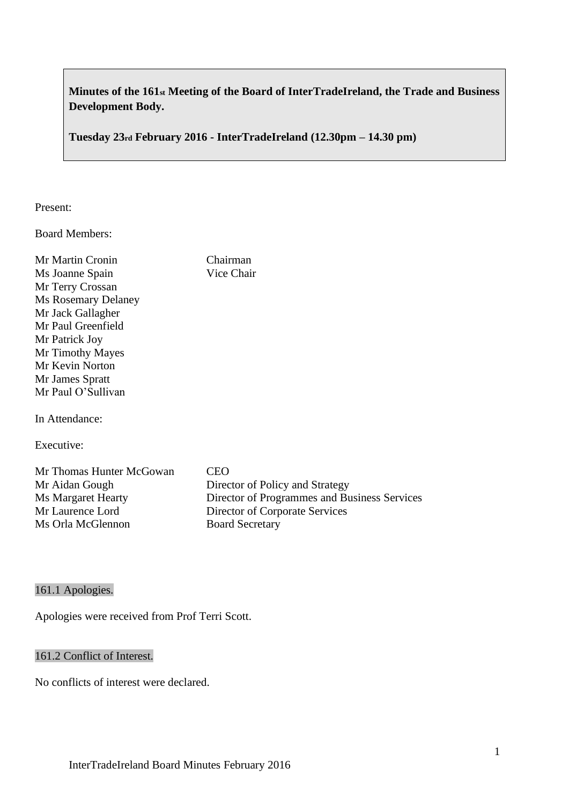# **Minutes of the 161st Meeting of the Board of InterTradeIreland, the Trade and Business Development Body.**

**Tuesday 23rd February 2016 - InterTradeIreland (12.30pm – 14.30 pm)**

Chairman Vice Chair

## Present:

Board Members:

| Mr Martin Cronin           |
|----------------------------|
| Ms Joanne Spain            |
| Mr Terry Crossan           |
| <b>Ms Rosemary Delaney</b> |
| Mr Jack Gallagher          |
| Mr Paul Greenfield         |
| Mr Patrick Joy             |
| Mr Timothy Mayes           |
| Mr Kevin Norton            |
| Mr James Spratt            |
| Mr Paul O'Sullivan         |
|                            |

In Attendance:

Executive:

| <b>CEO</b>                                   |
|----------------------------------------------|
| Director of Policy and Strategy              |
| Director of Programmes and Business Services |
| Director of Corporate Services               |
| <b>Board Secretary</b>                       |
|                                              |

# 161.1 Apologies.

Apologies were received from Prof Terri Scott.

## 161.2 Conflict of Interest.

No conflicts of interest were declared.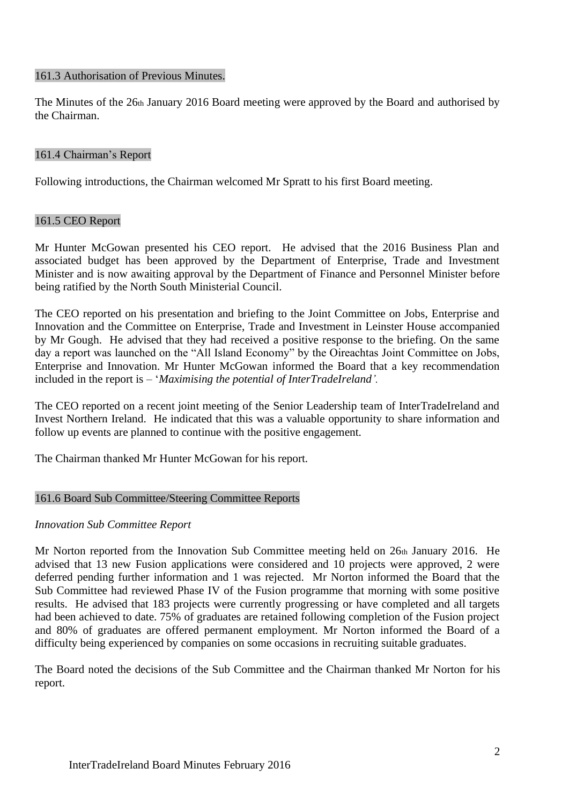#### 161.3 Authorisation of Previous Minutes.

The Minutes of the 26th January 2016 Board meeting were approved by the Board and authorised by the Chairman.

## 161.4 Chairman's Report

Following introductions, the Chairman welcomed Mr Spratt to his first Board meeting.

## 161.5 CEO Report

Mr Hunter McGowan presented his CEO report. He advised that the 2016 Business Plan and associated budget has been approved by the Department of Enterprise, Trade and Investment Minister and is now awaiting approval by the Department of Finance and Personnel Minister before being ratified by the North South Ministerial Council.

The CEO reported on his presentation and briefing to the Joint Committee on Jobs, Enterprise and Innovation and the Committee on Enterprise, Trade and Investment in Leinster House accompanied by Mr Gough. He advised that they had received a positive response to the briefing. On the same day a report was launched on the "All Island Economy" by the Oireachtas Joint Committee on Jobs, Enterprise and Innovation. Mr Hunter McGowan informed the Board that a key recommendation included in the report is – '*Maximising the potential of InterTradeIreland'.*

The CEO reported on a recent joint meeting of the Senior Leadership team of InterTradeIreland and Invest Northern Ireland. He indicated that this was a valuable opportunity to share information and follow up events are planned to continue with the positive engagement.

The Chairman thanked Mr Hunter McGowan for his report.

## 161.6 Board Sub Committee/Steering Committee Reports

## *Innovation Sub Committee Report*

Mr Norton reported from the Innovation Sub Committee meeting held on 26th January 2016. He advised that 13 new Fusion applications were considered and 10 projects were approved, 2 were deferred pending further information and 1 was rejected. Mr Norton informed the Board that the Sub Committee had reviewed Phase IV of the Fusion programme that morning with some positive results. He advised that 183 projects were currently progressing or have completed and all targets had been achieved to date. 75% of graduates are retained following completion of the Fusion project and 80% of graduates are offered permanent employment. Mr Norton informed the Board of a difficulty being experienced by companies on some occasions in recruiting suitable graduates.

The Board noted the decisions of the Sub Committee and the Chairman thanked Mr Norton for his report.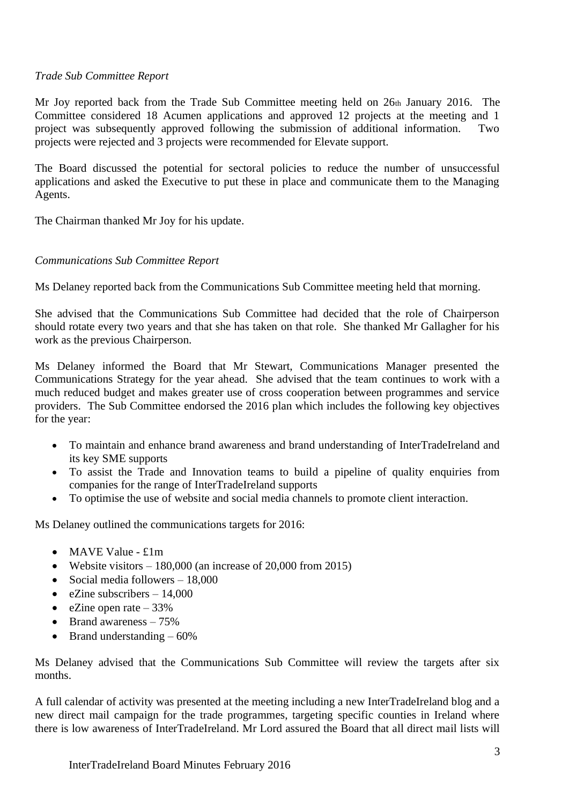## *Trade Sub Committee Report*

Mr Joy reported back from the Trade Sub Committee meeting held on 26th January 2016. The Committee considered 18 Acumen applications and approved 12 projects at the meeting and 1 project was subsequently approved following the submission of additional information. Two projects were rejected and 3 projects were recommended for Elevate support.

The Board discussed the potential for sectoral policies to reduce the number of unsuccessful applications and asked the Executive to put these in place and communicate them to the Managing Agents.

The Chairman thanked Mr Joy for his update.

## *Communications Sub Committee Report*

Ms Delaney reported back from the Communications Sub Committee meeting held that morning.

She advised that the Communications Sub Committee had decided that the role of Chairperson should rotate every two years and that she has taken on that role. She thanked Mr Gallagher for his work as the previous Chairperson.

Ms Delaney informed the Board that Mr Stewart, Communications Manager presented the Communications Strategy for the year ahead. She advised that the team continues to work with a much reduced budget and makes greater use of cross cooperation between programmes and service providers. The Sub Committee endorsed the 2016 plan which includes the following key objectives for the year:

- To maintain and enhance brand awareness and brand understanding of InterTradeIreland and its key SME supports
- To assist the Trade and Innovation teams to build a pipeline of quality enquiries from companies for the range of InterTradeIreland supports
- To optimise the use of website and social media channels to promote client interaction.

Ms Delaney outlined the communications targets for 2016:

- MAVE Value £1m
- Website visitors  $-180,000$  (an increase of 20,000 from 2015)
- Social media followers 18,000
- eZine subscribers  $-14,000$
- eZine open rate  $-33\%$
- Brand awareness 75%
- Brand understanding  $-60\%$

Ms Delaney advised that the Communications Sub Committee will review the targets after six months.

A full calendar of activity was presented at the meeting including a new InterTradeIreland blog and a new direct mail campaign for the trade programmes, targeting specific counties in Ireland where there is low awareness of InterTradeIreland. Mr Lord assured the Board that all direct mail lists will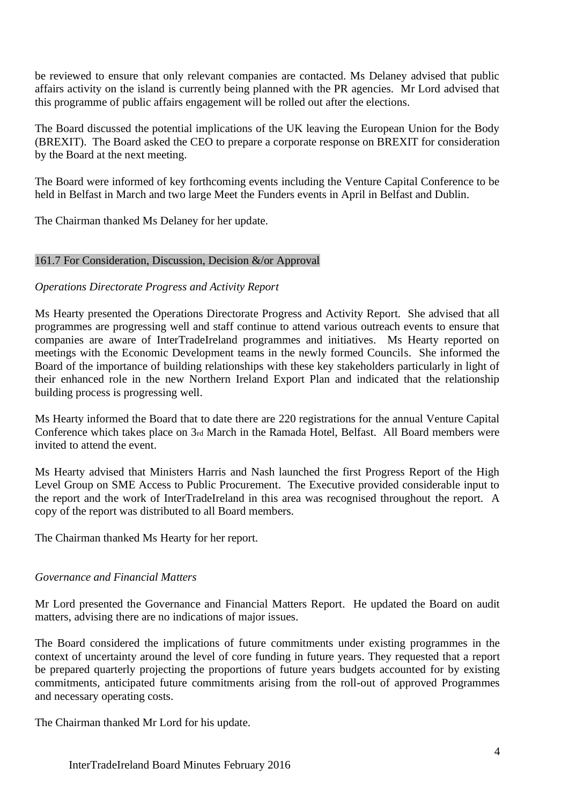be reviewed to ensure that only relevant companies are contacted. Ms Delaney advised that public affairs activity on the island is currently being planned with the PR agencies. Mr Lord advised that this programme of public affairs engagement will be rolled out after the elections.

The Board discussed the potential implications of the UK leaving the European Union for the Body (BREXIT). The Board asked the CEO to prepare a corporate response on BREXIT for consideration by the Board at the next meeting.

The Board were informed of key forthcoming events including the Venture Capital Conference to be held in Belfast in March and two large Meet the Funders events in April in Belfast and Dublin.

The Chairman thanked Ms Delaney for her update.

## 161.7 For Consideration, Discussion, Decision &/or Approval

## *Operations Directorate Progress and Activity Report*

Ms Hearty presented the Operations Directorate Progress and Activity Report. She advised that all programmes are progressing well and staff continue to attend various outreach events to ensure that companies are aware of InterTradeIreland programmes and initiatives. Ms Hearty reported on meetings with the Economic Development teams in the newly formed Councils. She informed the Board of the importance of building relationships with these key stakeholders particularly in light of their enhanced role in the new Northern Ireland Export Plan and indicated that the relationship building process is progressing well.

Ms Hearty informed the Board that to date there are 220 registrations for the annual Venture Capital Conference which takes place on 3rd March in the Ramada Hotel, Belfast. All Board members were invited to attend the event.

Ms Hearty advised that Ministers Harris and Nash launched the first Progress Report of the High Level Group on SME Access to Public Procurement. The Executive provided considerable input to the report and the work of InterTradeIreland in this area was recognised throughout the report. A copy of the report was distributed to all Board members.

The Chairman thanked Ms Hearty for her report.

## *Governance and Financial Matters*

Mr Lord presented the Governance and Financial Matters Report. He updated the Board on audit matters, advising there are no indications of major issues.

The Board considered the implications of future commitments under existing programmes in the context of uncertainty around the level of core funding in future years. They requested that a report be prepared quarterly projecting the proportions of future years budgets accounted for by existing commitments, anticipated future commitments arising from the roll-out of approved Programmes and necessary operating costs.

The Chairman thanked Mr Lord for his update.